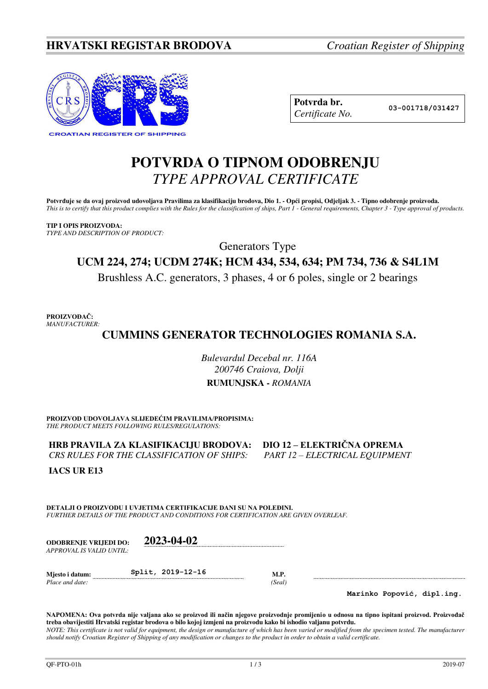## **HRVATSKI REGISTAR BRODOVA** *Croatian Register of Shipping*



**Potvrda br. 03-001718/031427** *Certificate No.* 

# **POTVRDA O TIPNOM ODOBRENJU**  *TYPE APPROVAL CERTIFICATE*

Potvrđuje se da ovaj proizvod udovoljava Pravilima za klasifikaciju brodova, Dio 1. - Opći propisi, Odjeljak 3. - Tipno odobrenje proizvoda. *This is to certify that this product complies with the Rules for the classification of ships, Part 1 - General requirements, Chapter 3 - Type approval of products.* 

**TIP I OPIS PROIZVODA:** *TYPE AND DESCRIPTION OF PRODUCT:* 

Generators Type

## **UCM 224, 274; UCDM 274K; HCM 434, 534, 634; PM 734, 736 & S4L1M**

Brushless A.C. generators, 3 phases, 4 or 6 poles, single or 2 bearings

**PROIZVOĐAČ:** *MANUFACTURER:*

## **CUMMINS GENERATOR TECHNOLOGIES ROMANIA S.A.**

*Bulevardul Decebal nr. 116A 200746 Craiova, Dolji*  **RUMUNJSKA -** *ROMANIA* 

**PROIZVOD UDOVOLJAVA SLIJEDEĆIM PRAVILIMA/PROPISIMA:** *THE PRODUCT MEETS FOLLOWING RULES/REGULATIONS:* 

**HRB PRAVILA ZA KLASIFIKACIJU BRODOVA:** DIO 12 – ELEKTRIČNA OPREMA<br>CRS RULES FOR THE CLASSIFICATION OF SHIPS: PART 12 – ELECTRICAL EQUIPMENT *CRS RULES FOR THE CLASSIFICATION OF SHIPS:* 

**IACS UR E13** 

**DETALJI O PROIZVODU I UVJETIMA CERTIFIKACIJE DANI SU NA POLEĐINI.** *FURTHER DETAILS OF THE PRODUCT AND CONDITIONS FOR CERTIFICATION ARE GIVEN OVERLEAF.* 

| <b>ODOBRENJE VRLIEDI DO:</b> | 2023-04-02        |             |
|------------------------------|-------------------|-------------|
| APPROVAL IS VALID UNTIL:     |                   |             |
| Miesto i datum:              | Split, 2019-12-16 | <b>M.P.</b> |

*Place and date: (Seal)* 

**Marinko Popović, dipl.ing.**

**NAPOMENA: Ova potvrda nije valjana ako se proizvod ili način njegove proizvodnje promijenio u odnosu na tipno ispitani proizvod. Proizvođač treba obavijestiti Hrvatski registar brodova o bilo kojoj izmjeni na proizvodu kako bi ishodio valjanu potvrdu.**  *NOTE: This certificate is not valid for equipment, the design or manufacture of which has been varied or modified from the specimen tested. The manufacturer should notify Croatian Register of Shipping of any modification or changes to the product in order to obtain a valid certificate.*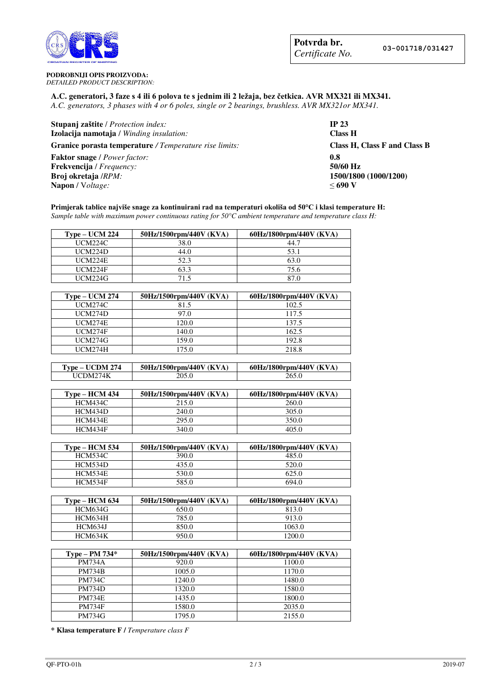

**PODROBNIJI OPIS PROIZVODA:**

*DETAILED PRODUCT DESCRIPTION:* 

#### **A.C. generatori, 3 faze s 4 ili 6 polova te s jednim ili 2 ležaja, bez četkica. AVR MX321 ili MX341.** *A.C. generators, 3 phases with 4 or 6 poles, single or 2 bearings, brushless. AVR MX321or MX341.*

| <b>Stupanj zaštite</b> / <i>Protection index:</i>             | <b>IP 23</b>                 |
|---------------------------------------------------------------|------------------------------|
| Izolacija namotaja / Winding insulation:                      | <b>Class H</b>               |
| <b>Granice porasta temperature</b> / Temperature rise limits: | Class H, Class F and Class B |
| <b>Faktor snage</b> / Power factor:                           | 0.8                          |
| Frekvencija / Frequency:                                      | 50/60 Hz                     |
| Broj okretaja /RPM:                                           | 1500/1800 (1000/1200)        |
| <b>Napon</b> / Voltage:                                       | $\leq 690$ V                 |

**Primjerak tablice najviše snage za kontinuirani rad na temperaturi okoliša od 50°C i klasi temperature H:** *Sample table with maximum power continuous rating for 50°C ambient temperature and temperature class H:*

| $Type-UCM 224$                                                                                           | 50Hz/1500rpm/440V (KVA) | 60Hz/1800rpm/440V (KVA) |
|----------------------------------------------------------------------------------------------------------|-------------------------|-------------------------|
| UCM224C                                                                                                  | 38.0                    | 44.1                    |
| $\overline{U}$ $\overline{C}$ $\overline{M}$ $\overline{2}$ $\overline{2}$ $\overline{4}$ $\overline{D}$ | 44.0                    | 53.1                    |
| <b>IICM224E</b>                                                                                          | 52.3                    | 63.0                    |
| $\overline{U}$ CM224F                                                                                    | 63.3                    | 75.6                    |
| UCM224G                                                                                                  | 715                     | 87 O                    |

| $Type-UCM 274$ | 50Hz/1500rpm/440V (KVA) | 60Hz/1800rpm/440V (KVA) |
|----------------|-------------------------|-------------------------|
| UCM274C        | 81.5                    | 102.5                   |
| UCM274D        | 97.0                    | 117.5                   |
| UCM274E        | 120.0                   | 137.5                   |
| UCM274F        | 140.0                   | 162.5                   |
| UCM274G        | 159.0                   | 192.8                   |
| UCM274H        | 175.0                   | 218.8                   |

| Type – UCDM 274 | 50Hz/1500rpm/440V (KVA) | 60Hz/1800rpm/440V (KVA) |
|-----------------|-------------------------|-------------------------|
| HCDM274K        | 205.0                   | 265.0                   |

| <b>Type – HCM 434</b> | 50Hz/1500rpm/440V (KVA) | 60Hz/1800rpm/440V (KVA) |
|-----------------------|-------------------------|-------------------------|
| <b>HCM434C</b>        | 215.0                   | 260.0                   |
| HCM434D               | 240.0                   | 305.0                   |
| <b>HCM434E</b>        | 295.0                   | 350.0                   |
| HCM434F               | 340.0                   | 405.0                   |

| $Type-HCM 534$ | 50Hz/1500rpm/440V (KVA) | 60Hz/1800rpm/440V (KVA) |
|----------------|-------------------------|-------------------------|
| <b>HCM534C</b> | 390.0                   | 485.0                   |
| HCM534D        | 435.0                   | 520.0                   |
| <b>HCM534E</b> | 530.0                   | 625.0                   |
| <b>HCM534F</b> | 585.0                   | 694.0                   |

| $Type-HCM$ 634 | 50Hz/1500rpm/440V (KVA) | 60Hz/1800rpm/440V (KVA) |
|----------------|-------------------------|-------------------------|
| HCM634G        | 650.0                   | 813.0                   |
| <b>HCM634H</b> | 785.0                   | 913.0                   |
| <b>HCM634J</b> | 850.0                   | 1063.0                  |
| <b>HCM634K</b> | 950.0                   | 1200.0                  |

| Type – PM $734*$ | 50Hz/1500rpm/440V (KVA) | 60Hz/1800rpm/440V (KVA) |
|------------------|-------------------------|-------------------------|
| <b>PM734A</b>    | 920.0                   | 1100.0                  |
| <b>PM734B</b>    | 1005.0                  | 1170.0                  |
| <b>PM734C</b>    | 1240.0                  | 1480.0                  |
| <b>PM734D</b>    | 1320.0                  | 1580.0                  |
| <b>PM734E</b>    | 1435.0                  | 1800.0                  |
| <b>PM734F</b>    | 1580.0                  | 2035.0                  |
| <b>PM734G</b>    | 1795.0                  | 2155.0                  |

**\* Klasa temperature F /** *Temperature class F*